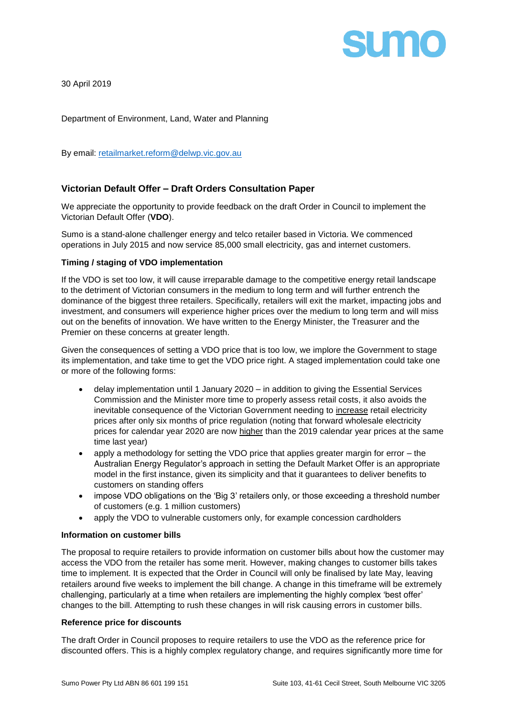

30 April 2019

Department of Environment, Land, Water and Planning

By email: [retailmarket.reform@delwp.vic.gov.au](mailto:retailmarket.reform@delwp.vic.gov.au)

# **Victorian Default Offer – Draft Orders Consultation Paper**

We appreciate the opportunity to provide feedback on the draft Order in Council to implement the Victorian Default Offer (**VDO**).

Sumo is a stand-alone challenger energy and telco retailer based in Victoria. We commenced operations in July 2015 and now service 85,000 small electricity, gas and internet customers.

### **Timing / staging of VDO implementation**

If the VDO is set too low, it will cause irreparable damage to the competitive energy retail landscape to the detriment of Victorian consumers in the medium to long term and will further entrench the dominance of the biggest three retailers. Specifically, retailers will exit the market, impacting jobs and investment, and consumers will experience higher prices over the medium to long term and will miss out on the benefits of innovation. We have written to the Energy Minister, the Treasurer and the Premier on these concerns at greater length.

Given the consequences of setting a VDO price that is too low, we implore the Government to stage its implementation, and take time to get the VDO price right. A staged implementation could take one or more of the following forms:

- delay implementation until 1 January 2020 in addition to giving the Essential Services Commission and the Minister more time to properly assess retail costs, it also avoids the inevitable consequence of the Victorian Government needing to increase retail electricity prices after only six months of price regulation (noting that forward wholesale electricity prices for calendar year 2020 are now higher than the 2019 calendar year prices at the same time last year)
- apply a methodology for setting the VDO price that applies greater margin for error the Australian Energy Regulator's approach in setting the Default Market Offer is an appropriate model in the first instance, given its simplicity and that it guarantees to deliver benefits to customers on standing offers
- impose VDO obligations on the 'Big 3' retailers only, or those exceeding a threshold number of customers (e.g. 1 million customers)
- apply the VDO to vulnerable customers only, for example concession cardholders

#### **Information on customer bills**

The proposal to require retailers to provide information on customer bills about how the customer may access the VDO from the retailer has some merit. However, making changes to customer bills takes time to implement. It is expected that the Order in Council will only be finalised by late May, leaving retailers around five weeks to implement the bill change. A change in this timeframe will be extremely challenging, particularly at a time when retailers are implementing the highly complex 'best offer' changes to the bill. Attempting to rush these changes in will risk causing errors in customer bills.

#### **Reference price for discounts**

The draft Order in Council proposes to require retailers to use the VDO as the reference price for discounted offers. This is a highly complex regulatory change, and requires significantly more time for